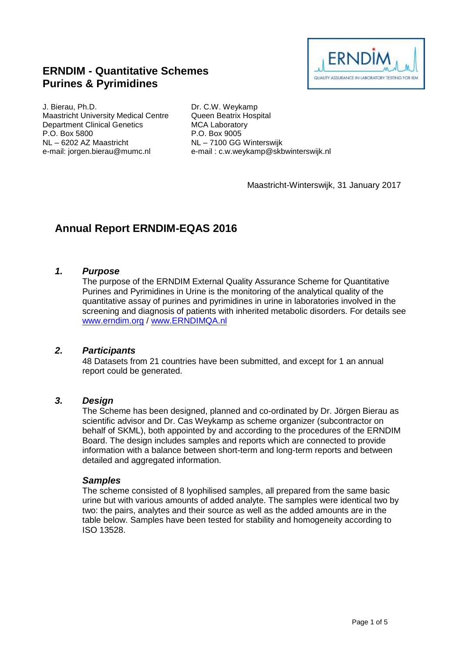# **ERNDIM - Quantitative Schemes Purines & Pyrimidines**



J. Bierau, Ph.D. Maastricht University Medical Centre Department Clinical Genetics P.O. Box 5800 NL – 6202 AZ Maastricht e-mail: jorgen.bierau@mumc.nl

Dr. C.W. Weykamp Queen Beatrix Hospital MCA Laboratory P.O. Box 9005 NL – 7100 GG Winterswijk e-mail : c.w.weykamp@skbwinterswijk.nl

Maastricht-Winterswijk, 31 January 2017

# **Annual Report ERNDIM-EQAS 2016**

#### *1. Purpose*

The purpose of the ERNDIM External Quality Assurance Scheme for Quantitative Purines and Pyrimidines in Urine is the monitoring of the analytical quality of the quantitative assay of purines and pyrimidines in urine in laboratories involved in the screening and diagnosis of patients with inherited metabolic disorders. For details see [www.erndim.o](http://www.erndim.unibas.ch/)rg / [www.ERNDIMQA.nl](http://www.erndimqa.nl/)

#### *2. Participants*

48 Datasets from 21 countries have been submitted, and except for 1 an annual report could be generated.

#### *3. Design*

The Scheme has been designed, planned and co-ordinated by Dr. Jörgen Bierau as scientific advisor and Dr. Cas Weykamp as scheme organizer (subcontractor on behalf of SKML), both appointed by and according to the procedures of the ERNDIM Board. The design includes samples and reports which are connected to provide information with a balance between short-term and long-term reports and between detailed and aggregated information.

#### *Samples*

The scheme consisted of 8 lyophilised samples, all prepared from the same basic urine but with various amounts of added analyte. The samples were identical two by two: the pairs, analytes and their source as well as the added amounts are in the table below. Samples have been tested for stability and homogeneity according to ISO 13528.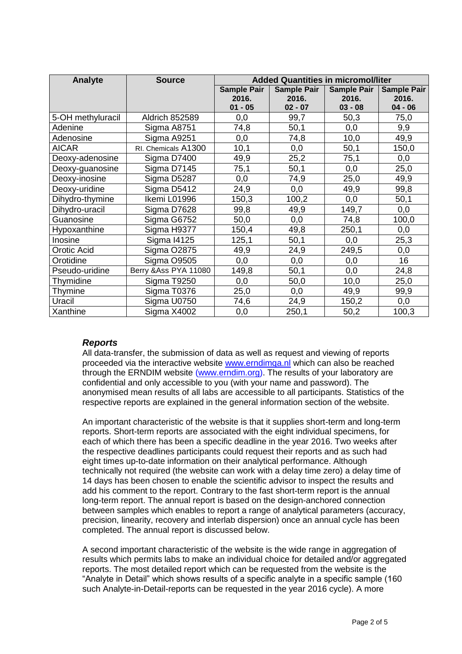| Analyte           | <b>Source</b>         | <b>Added Quantities in micromol/liter</b> |                    |                    |                    |
|-------------------|-----------------------|-------------------------------------------|--------------------|--------------------|--------------------|
|                   |                       | <b>Sample Pair</b>                        | <b>Sample Pair</b> | <b>Sample Pair</b> | <b>Sample Pair</b> |
|                   |                       | 2016.                                     | 2016.              | 2016.              | 2016.              |
|                   |                       | $01 - 05$                                 | $02 - 07$          | $03 - 08$          | $04 - 06$          |
| 5-OH methyluracil | <b>Aldrich 852589</b> | 0,0                                       | 99,7               | 50,3               | 75,0               |
| Adenine           | Sigma A8751           | 74,8                                      | 50,1               | 0,0                | 9,9                |
| Adenosine         | Sigma A9251           | 0,0                                       | 74,8               | 10,0               | 49,9               |
| <b>AICAR</b>      | RI. Chemicals A1300   | 10,1                                      | 0,0                | 50,1               | 150,0              |
| Deoxy-adenosine   | Sigma D7400           | 49,9                                      | 25,2               | 75,1               | 0,0                |
| Deoxy-guanosine   | Sigma D7145           | 75,1                                      | 50,1               | 0,0                | 25,0               |
| Deoxy-inosine     | Sigma D5287           | 0,0                                       | 74,9               | 25,0               | 49,9               |
| Deoxy-uridine     | Sigma D5412           | 24,9                                      | 0,0                | 49,9               | 99,8               |
| Dihydro-thymine   | Ikemi L01996          | 150,3                                     | 100,2              | 0,0                | 50,1               |
| Dihydro-uracil    | Sigma D7628           | 99,8                                      | 49,9               | 149,7              | 0,0                |
| Guanosine         | Sigma G6752           | 50,0                                      | 0,0                | 74,8               | 100,0              |
| Hypoxanthine      | Sigma H9377           | 150,4                                     | 49,8               | 250,1              | 0,0                |
| Inosine           | <b>Sigma I4125</b>    | 125,1                                     | 50,1               | 0,0                | 25,3               |
| Orotic Acid       | Sigma O2875           | 49,9                                      | 24,9               | 249,5              | 0,0                |
| Orotidine         | Sigma O9505           | 0,0                                       | 0,0                | 0,0                | 16                 |
| Pseudo-uridine    | Berry & Ass PYA 11080 | 149,8                                     | 50,1               | 0,0                | 24,8               |
| Thymidine         | Sigma T9250           | 0,0                                       | 50,0               | 10,0               | 25,0               |
| Thymine           | Sigma T0376           | 25,0                                      | 0,0                | 49,9               | 99,9               |
| Uracil            | Sigma U0750           | 74,6                                      | 24,9               | 150,2              | 0,0                |
| Xanthine          | Sigma X4002           | 0,0                                       | 250,1              | 50,2               | 100,3              |

#### *Reports*

All data-transfer, the submission of data as well as request and viewing of reports proceeded via the interactive website [www.erndimqa.nl](http://www.erndimqa.nl/) which can also be reached through the ERNDIM website [\(www.erndim.org\)](http://www.erndim.org/). The results of your laboratory are confidential and only accessible to you (with your name and password). The anonymised mean results of all labs are accessible to all participants. Statistics of the respective reports are explained in the general information section of the website.

An important characteristic of the website is that it supplies short-term and long-term reports. Short-term reports are associated with the eight individual specimens, for each of which there has been a specific deadline in the year 2016. Two weeks after the respective deadlines participants could request their reports and as such had eight times up-to-date information on their analytical performance. Although technically not required (the website can work with a delay time zero) a delay time of 14 days has been chosen to enable the scientific advisor to inspect the results and add his comment to the report. Contrary to the fast short-term report is the annual long-term report. The annual report is based on the design-anchored connection between samples which enables to report a range of analytical parameters (accuracy, precision, linearity, recovery and interlab dispersion) once an annual cycle has been completed. The annual report is discussed below.

A second important characteristic of the website is the wide range in aggregation of results which permits labs to make an individual choice for detailed and/or aggregated reports. The most detailed report which can be requested from the website is the "Analyte in Detail" which shows results of a specific analyte in a specific sample (160 such Analyte-in-Detail-reports can be requested in the year 2016 cycle). A more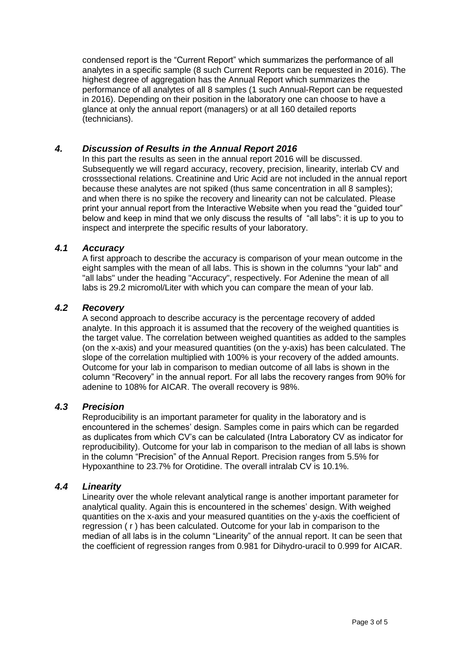condensed report is the "Current Report" which summarizes the performance of all analytes in a specific sample (8 such Current Reports can be requested in 2016). The highest degree of aggregation has the Annual Report which summarizes the performance of all analytes of all 8 samples (1 such Annual-Report can be requested in 2016). Depending on their position in the laboratory one can choose to have a glance at only the annual report (managers) or at all 160 detailed reports (technicians).

# *4. Discussion of Results in the Annual Report 2016*

In this part the results as seen in the annual report 2016 will be discussed. Subsequently we will regard accuracy, recovery, precision, linearity, interlab CV and crosssectional relations. Creatinine and Uric Acid are not included in the annual report because these analytes are not spiked (thus same concentration in all 8 samples); and when there is no spike the recovery and linearity can not be calculated. Please print your annual report from the Interactive Website when you read the "guided tour" below and keep in mind that we only discuss the results of "all labs": it is up to you to inspect and interprete the specific results of your laboratory.

# *4.1 Accuracy*

A first approach to describe the accuracy is comparison of your mean outcome in the eight samples with the mean of all labs. This is shown in the columns "your lab" and "all labs" under the heading "Accuracy", respectively. For Adenine the mean of all labs is 29.2 micromol/Liter with which you can compare the mean of your lab.

# *4.2 Recovery*

A second approach to describe accuracy is the percentage recovery of added analyte. In this approach it is assumed that the recovery of the weighed quantities is the target value. The correlation between weighed quantities as added to the samples (on the x-axis) and your measured quantities (on the y-axis) has been calculated. The slope of the correlation multiplied with 100% is your recovery of the added amounts. Outcome for your lab in comparison to median outcome of all labs is shown in the column "Recovery" in the annual report. For all labs the recovery ranges from 90% for adenine to 108% for AICAR. The overall recovery is 98%.

# *4.3 Precision*

Reproducibility is an important parameter for quality in the laboratory and is encountered in the schemes' design. Samples come in pairs which can be regarded as duplicates from which CV's can be calculated (Intra Laboratory CV as indicator for reproducibility). Outcome for your lab in comparison to the median of all labs is shown in the column "Precision" of the Annual Report. Precision ranges from 5.5% for Hypoxanthine to 23.7% for Orotidine. The overall intralab CV is 10.1%.

#### *4.4 Linearity*

Linearity over the whole relevant analytical range is another important parameter for analytical quality. Again this is encountered in the schemes' design. With weighed quantities on the x-axis and your measured quantities on the y-axis the coefficient of regression ( r ) has been calculated. Outcome for your lab in comparison to the median of all labs is in the column "Linearity" of the annual report. It can be seen that the coefficient of regression ranges from 0.981 for Dihydro-uracil to 0.999 for AICAR.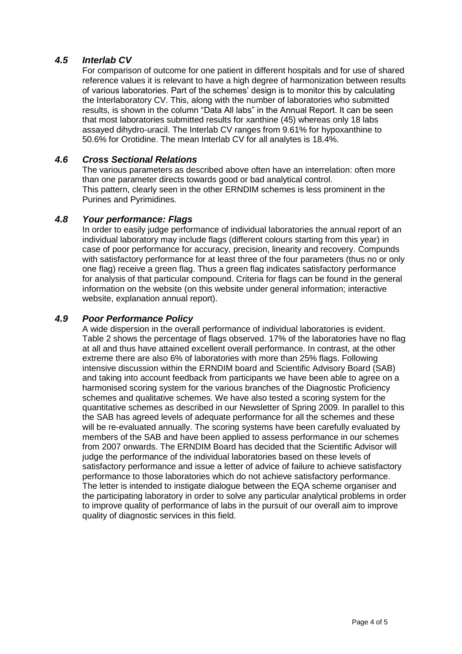# *4.5 Interlab CV*

For comparison of outcome for one patient in different hospitals and for use of shared reference values it is relevant to have a high degree of harmonization between results of various laboratories. Part of the schemes' design is to monitor this by calculating the Interlaboratory CV. This, along with the number of laboratories who submitted results, is shown in the column "Data All labs" in the Annual Report. It can be seen that most laboratories submitted results for xanthine (45) whereas only 18 labs assayed dihydro-uracil. The Interlab CV ranges from 9.61% for hypoxanthine to 50.6% for Orotidine. The mean Interlab CV for all analytes is 18.4%.

# *4.6 Cross Sectional Relations*

The various parameters as described above often have an interrelation: often more than one parameter directs towards good or bad analytical control. This pattern, clearly seen in the other ERNDIM schemes is less prominent in the Purines and Pyrimidines.

#### *4.8 Your performance: Flags*

In order to easily judge performance of individual laboratories the annual report of an individual laboratory may include flags (different colours starting from this year) in case of poor performance for accuracy, precision, linearity and recovery. Compunds with satisfactory performance for at least three of the four parameters (thus no or only one flag) receive a green flag. Thus a green flag indicates satisfactory performance for analysis of that particular compound. Criteria for flags can be found in the general information on the website (on this website under general information; interactive website, explanation annual report).

# *4.9 Poor Performance Policy*

A wide dispersion in the overall performance of individual laboratories is evident. Table 2 shows the percentage of flags observed. 17% of the laboratories have no flag at all and thus have attained excellent overall performance. In contrast, at the other extreme there are also 6% of laboratories with more than 25% flags. Following intensive discussion within the ERNDIM board and Scientific Advisory Board (SAB) and taking into account feedback from participants we have been able to agree on a harmonised scoring system for the various branches of the Diagnostic Proficiency schemes and qualitative schemes. We have also tested a scoring system for the quantitative schemes as described in our Newsletter of Spring 2009. In parallel to this the SAB has agreed levels of adequate performance for all the schemes and these will be re-evaluated annually. The scoring systems have been carefully evaluated by members of the SAB and have been applied to assess performance in our schemes from 2007 onwards. The ERNDIM Board has decided that the Scientific Advisor will judge the performance of the individual laboratories based on these levels of satisfactory performance and issue a letter of advice of failure to achieve satisfactory performance to those laboratories which do not achieve satisfactory performance. The letter is intended to instigate dialogue between the EQA scheme organiser and the participating laboratory in order to solve any particular analytical problems in order to improve quality of performance of labs in the pursuit of our overall aim to improve quality of diagnostic services in this field.